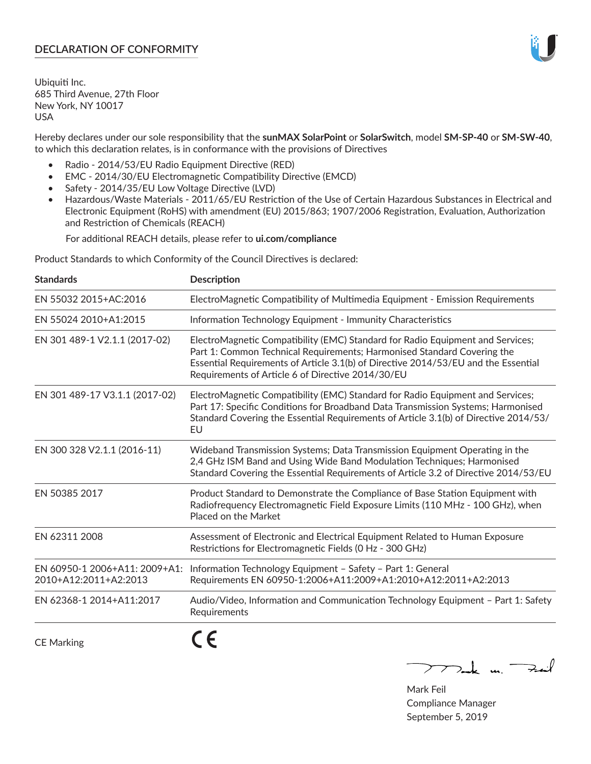# **DECLARATION OF CONFORMITY**

Ubiquiti Inc. 685 Third Avenue, 27th Floor New York, NY 10017 USA

Hereby declares under our sole responsibility that the **sunMAX SolarPoint** or **SolarSwitch**, model **SM-SP-40** or **SM-SW-40**, to which this declaration relates, is in conformance with the provisions of Directives

- Radio 2014/53/EU Radio Equipment Directive (RED)
- EMC 2014/30/EU Electromagnetic Compatibility Directive (EMCD)
- Safety 2014/35/EU Low Voltage Directive (LVD)
- Hazardous/Waste Materials 2011/65/EU Restriction of the Use of Certain Hazardous Substances in Electrical and Electronic Equipment (RoHS) with amendment (EU) 2015/863; 1907/2006 Registration, Evaluation, Authorization and Restriction of Chemicals (REACH)

For additional REACH details, please refer to **ui.com/compliance**

Product Standards to which Conformity of the Council Directives is declared:

| <b>Standards</b>                                       | <b>Description</b>                                                                                                                                                                                                                                                                                   |
|--------------------------------------------------------|------------------------------------------------------------------------------------------------------------------------------------------------------------------------------------------------------------------------------------------------------------------------------------------------------|
| EN 55032 2015+AC:2016                                  | ElectroMagnetic Compatibility of Multimedia Equipment - Emission Requirements                                                                                                                                                                                                                        |
| EN 55024 2010+A1:2015                                  | Information Technology Equipment - Immunity Characteristics                                                                                                                                                                                                                                          |
| EN 301 489-1 V2.1.1 (2017-02)                          | ElectroMagnetic Compatibility (EMC) Standard for Radio Equipment and Services;<br>Part 1: Common Technical Requirements; Harmonised Standard Covering the<br>Essential Requirements of Article 3.1(b) of Directive 2014/53/EU and the Essential<br>Requirements of Article 6 of Directive 2014/30/EU |
| EN 301 489-17 V3.1.1 (2017-02)                         | ElectroMagnetic Compatibility (EMC) Standard for Radio Equipment and Services;<br>Part 17: Specific Conditions for Broadband Data Transmission Systems; Harmonised<br>Standard Covering the Essential Requirements of Article 3.1(b) of Directive 2014/53/<br>EU                                     |
| EN 300 328 V2.1.1 (2016-11)                            | Wideband Transmission Systems; Data Transmission Equipment Operating in the<br>2,4 GHz ISM Band and Using Wide Band Modulation Techniques; Harmonised<br>Standard Covering the Essential Requirements of Article 3.2 of Directive 2014/53/EU                                                         |
| EN 50385 2017                                          | Product Standard to Demonstrate the Compliance of Base Station Equipment with<br>Radiofrequency Electromagnetic Field Exposure Limits (110 MHz - 100 GHz), when<br>Placed on the Market                                                                                                              |
| EN 62311 2008                                          | Assessment of Electronic and Electrical Equipment Related to Human Exposure<br>Restrictions for Electromagnetic Fields (0 Hz - 300 GHz)                                                                                                                                                              |
| EN 60950-1 2006+A11: 2009+A1:<br>2010+A12:2011+A2:2013 | Information Technology Equipment - Safety - Part 1: General<br>Requirements EN 60950-1:2006+A11:2009+A1:2010+A12:2011+A2:2013                                                                                                                                                                        |
| EN 62368-1 2014+A11:2017                               | Audio/Video, Information and Communication Technology Equipment - Part 1: Safety<br>Requirements                                                                                                                                                                                                     |
| <b>CE Marking</b>                                      |                                                                                                                                                                                                                                                                                                      |

CE Marking

 $\nabla$  and  $\nabla$  and  $\nabla$ 

Mark Feil Compliance Manager September 5, 2019

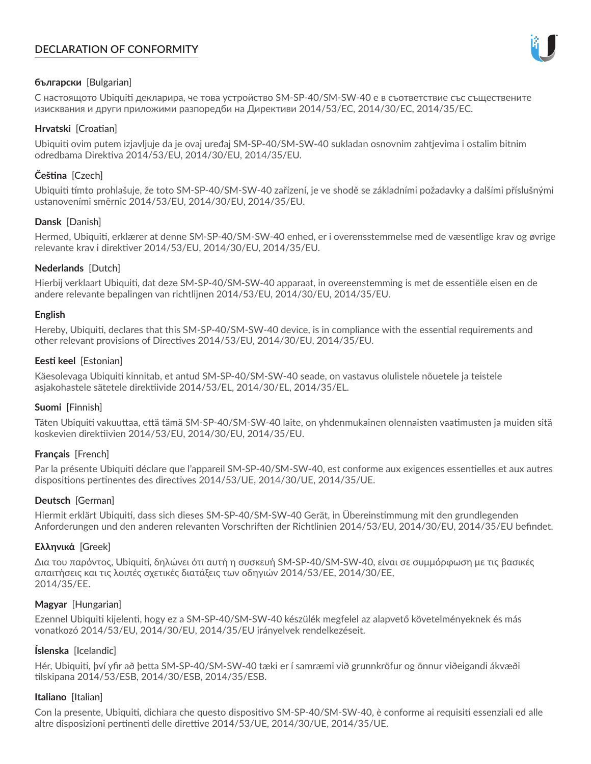# **DECLARATION OF CONFORMITY**



# **български** [Bulgarian]

С настоящото Ubiquiti декларира, че това устройство SM-SP-40/SM-SW-40 е в съответствие със съществените изисквания и други приложими разпоредби на Директиви 2014/53/EC, 2014/30/ЕС, 2014/35/ЕС.

## **Hrvatski** [Croatian]

Ubiquiti ovim putem izjavljuje da je ovaj uređaj SM-SP-40/SM-SW-40 sukladan osnovnim zahtjevima i ostalim bitnim odredbama Direktiva 2014/53/EU, 2014/30/EU, 2014/35/EU.

# **Čeština** [Czech]

Ubiquiti tímto prohlašuje, že toto SM-SP-40/SM-SW-40 zařízení, je ve shodě se základními požadavky a dalšími příslušnými ustanoveními směrnic 2014/53/EU, 2014/30/EU, 2014/35/EU.

## **Dansk** [Danish]

Hermed, Ubiquiti, erklærer at denne SM-SP-40/SM-SW-40 enhed, er i overensstemmelse med de væsentlige krav og øvrige relevante krav i direktiver 2014/53/EU, 2014/30/EU, 2014/35/EU.

## **Nederlands** [Dutch]

Hierbij verklaart Ubiquiti, dat deze SM-SP-40/SM-SW-40 apparaat, in overeenstemming is met de essentiële eisen en de andere relevante bepalingen van richtlijnen 2014/53/EU, 2014/30/EU, 2014/35/EU.

## **English**

Hereby, Ubiquiti, declares that this SM-SP-40/SM-SW-40 device, is in compliance with the essential requirements and other relevant provisions of Directives 2014/53/EU, 2014/30/EU, 2014/35/EU.

## **Eesti keel** [Estonian]

Käesolevaga Ubiquiti kinnitab, et antud SM-SP-40/SM-SW-40 seade, on vastavus olulistele nõuetele ja teistele asjakohastele sätetele direktiivide 2014/53/EL, 2014/30/EL, 2014/35/EL.

## **Suomi** [Finnish]

Täten Ubiquiti vakuuttaa, että tämä SM-SP-40/SM-SW-40 laite, on yhdenmukainen olennaisten vaatimusten ja muiden sitä koskevien direktiivien 2014/53/EU, 2014/30/EU, 2014/35/EU.

## **Français** [French]

Par la présente Ubiquiti déclare que l'appareil SM-SP-40/SM-SW-40, est conforme aux exigences essentielles et aux autres dispositions pertinentes des directives 2014/53/UE, 2014/30/UE, 2014/35/UE.

## **Deutsch** [German]

Hiermit erklärt Ubiquiti, dass sich dieses SM-SP-40/SM-SW-40 Gerät, in Übereinstimmung mit den grundlegenden Anforderungen und den anderen relevanten Vorschriften der Richtlinien 2014/53/EU, 2014/30/EU, 2014/35/EU befindet.

## **Ελληνικά** [Greek]

Δια του παρόντος, Ubiquiti, δηλώνει ότι αυτή η συσκευή SM-SP-40/SM-SW-40, είναι σε συμμόρφωση με τις βασικές απαιτήσεις και τις λοιπές σχετικές διατάξεις των οδηγιών 2014/53/EE, 2014/30/EE, 2014/35/EE.

## **Magyar** [Hungarian]

Ezennel Ubiquiti kijelenti, hogy ez a SM-SP-40/SM-SW-40 készülék megfelel az alapvető követelményeknek és más vonatkozó 2014/53/EU, 2014/30/EU, 2014/35/EU irányelvek rendelkezéseit.

## **Íslenska** [Icelandic]

Hér, Ubiquiti, því yfir að þetta SM-SP-40/SM-SW-40 tæki er í samræmi við grunnkröfur og önnur viðeigandi ákvæði tilskipana 2014/53/ESB, 2014/30/ESB, 2014/35/ESB.

## **Italiano** [Italian]

Con la presente, Ubiquiti, dichiara che questo dispositivo SM-SP-40/SM-SW-40, è conforme ai requisiti essenziali ed alle altre disposizioni pertinenti delle direttive 2014/53/UE, 2014/30/UE, 2014/35/UE.